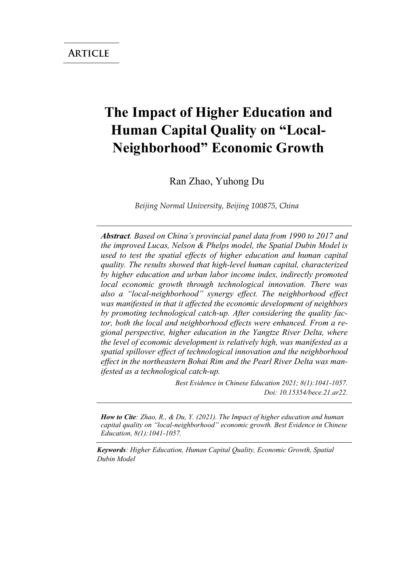# **The Impact of Higher Education and Human Capital Quality on "Local-Neighborhood" Economic Growth**

Ran Zhao, Yuhong Du

*Beijing Normal University, Beijing 100875, China* 

*Abstract. Based on China's provincial panel data from 1990 to 2017 and the improved Lucas, Nelson & Phelps model, the Spatial Dubin Model is used to test the spatial effects of higher education and human capital quality. The results showed that high-level human capital, characterized by higher education and urban labor income index, indirectly promoted local economic growth through technological innovation. There was also a "local-neighborhood" synergy effect. The neighborhood effect was manifested in that it affected the economic development of neighbors by promoting technological catch-up. After considering the quality factor, both the local and neighborhood effects were enhanced. From a regional perspective, higher education in the Yangtze River Delta, where the level of economic development is relatively high, was manifested as a spatial spillover effect of technological innovation and the neighborhood effect in the northeastern Bohai Rim and the Pearl River Delta was manifested as a technological catch-up.*

> *Best Evidence in Chinese Education 2021; 8(1):1041-1057. Doi: 10.15354/bece.21.ar22.*

*How to Cite: Zhao, R., & Du, Y. (2021). The Impact of higher education and human capital quality on "local-neighborhood" economic growth. Best Evidence in Chinese Education, 8(1):1041-1057.*

*Keywords: Higher Education, Human Capital Quality, Economic Growth, Spatial Dubin Model*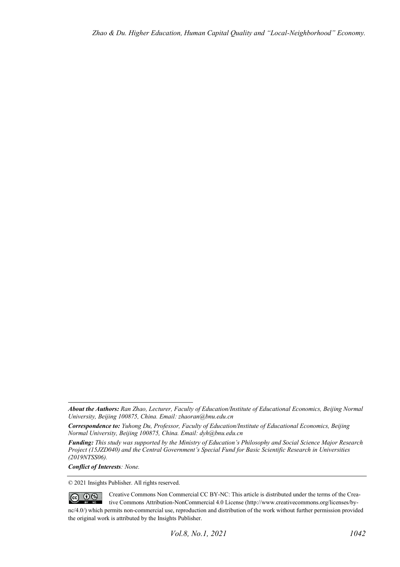*Conflict of Interests: None.* 

© 2021 Insights Publisher. All rights reserved.

Creative Commons Non Commercial CC BY-NC: This article is distributed under the terms of the Crea- $\circledcirc$   $\circledcirc$ tive Commons Attribution-NonCommercial 4.0 License (http://www.creativecommons.org/licenses/bync/4.0/) which permits non-commercial use, reproduction and distribution of the work without further permission provided the original work is attributed by the Insights Publisher.

*About the Authors: Ran Zhao, Lecturer, Faculty of Education/Institute of Educational Economics, Beijing Normal University, Beijing 100875, China. Email: zhaoran@bnu.edu.cn* 

*Correspondence to: Yuhong Du, Professor, Faculty of Education/Institute of Educational Economics, Beijing Normal University, Beijing 100875, China. Email: dyh@bnu.edu.cn* 

*Funding: This study was supported by the Ministry of Education's Philosophy and Social Science Major Research Project (15JZD040) and the Central Government's Special Fund for Basic Scientific Research in Universities (2019NTSS06).*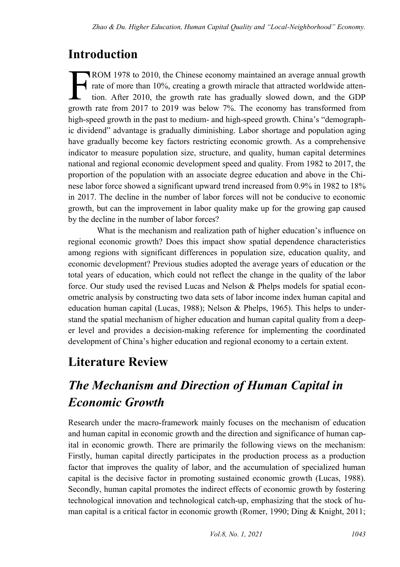## **Introduction**

ROM 1978 to 2010, the Chinese economy maintained an average annual growth rate of more than 10%, creating a growth miracle that attracted worldwide attention. After 2010, the growth rate has gradually slowed down, and the GDP ROM 1978 to 2010, the Chinese economy maintained an average annual growth rate of more than 10%, creating a growth miracle that attracted worldwide attention. After 2010, the growth rate has gradually slowed down, and the high-speed growth in the past to medium- and high-speed growth. China's "demographic dividend" advantage is gradually diminishing. Labor shortage and population aging have gradually become key factors restricting economic growth. As a comprehensive indicator to measure population size, structure, and quality, human capital determines national and regional economic development speed and quality. From 1982 to 2017, the proportion of the population with an associate degree education and above in the Chinese labor force showed a significant upward trend increased from 0.9% in 1982 to 18% in 2017. The decline in the number of labor forces will not be conducive to economic growth, but can the improvement in labor quality make up for the growing gap caused by the decline in the number of labor forces?

What is the mechanism and realization path of higher education's influence on regional economic growth? Does this impact show spatial dependence characteristics among regions with significant differences in population size, education quality, and economic development? Previous studies adopted the average years of education or the total years of education, which could not reflect the change in the quality of the labor force. Our study used the revised Lucas and Nelson & Phelps models for spatial econometric analysis by constructing two data sets of labor income index human capital and education human capital (Lucas, 1988); Nelson & Phelps, 1965). This helps to understand the spatial mechanism of higher education and human capital quality from a deeper level and provides a decision-making reference for implementing the coordinated development of China's higher education and regional economy to a certain extent.

## **Literature Review**

# *The Mechanism and Direction of Human Capital in Economic Growth*

Research under the macro-framework mainly focuses on the mechanism of education and human capital in economic growth and the direction and significance of human capital in economic growth. There are primarily the following views on the mechanism: Firstly, human capital directly participates in the production process as a production factor that improves the quality of labor, and the accumulation of specialized human capital is the decisive factor in promoting sustained economic growth (Lucas, 1988). Secondly, human capital promotes the indirect effects of economic growth by fostering technological innovation and technological catch-up, emphasizing that the stock of human capital is a critical factor in economic growth (Romer, 1990; Ding & Knight, 2011;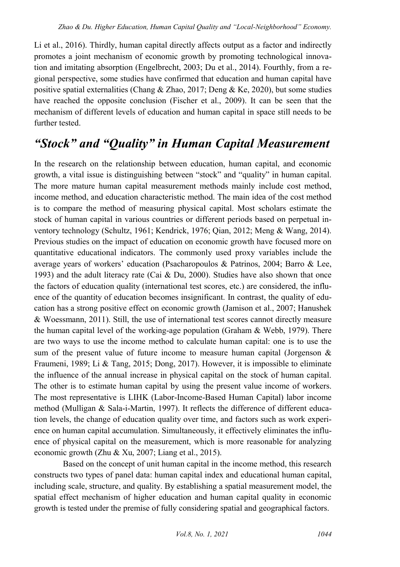Li et al., 2016). Thirdly, human capital directly affects output as a factor and indirectly promotes a joint mechanism of economic growth by promoting technological innovation and imitating absorption (Engelbrecht, 2003; Du et al., 2014). Fourthly, from a regional perspective, some studies have confirmed that education and human capital have positive spatial externalities (Chang & Zhao, 2017; Deng & Ke, 2020), but some studies have reached the opposite conclusion (Fischer et al., 2009). It can be seen that the mechanism of different levels of education and human capital in space still needs to be further tested.

### *"Stock" and "Quality" in Human Capital Measurement*

In the research on the relationship between education, human capital, and economic growth, a vital issue is distinguishing between "stock" and "quality" in human capital. The more mature human capital measurement methods mainly include cost method, income method, and education characteristic method. The main idea of the cost method is to compare the method of measuring physical capital. Most scholars estimate the stock of human capital in various countries or different periods based on perpetual inventory technology (Schultz, 1961; Kendrick, 1976; Qian, 2012; Meng & Wang, 2014). Previous studies on the impact of education on economic growth have focused more on quantitative educational indicators. The commonly used proxy variables include the average years of workers' education (Psacharopoulos & Patrinos, 2004; Barro & Lee, 1993) and the adult literacy rate (Cai & Du, 2000). Studies have also shown that once the factors of education quality (international test scores, etc.) are considered, the influence of the quantity of education becomes insignificant. In contrast, the quality of education has a strong positive effect on economic growth (Jamison et al., 2007; Hanushek & Woessmann, 2011). Still, the use of international test scores cannot directly measure the human capital level of the working-age population (Graham & Webb, 1979). There are two ways to use the income method to calculate human capital: one is to use the sum of the present value of future income to measure human capital (Jorgenson & Fraumeni, 1989; Li & Tang, 2015; Dong, 2017). However, it is impossible to eliminate the influence of the annual increase in physical capital on the stock of human capital. The other is to estimate human capital by using the present value income of workers. The most representative is LIHK (Labor-Income-Based Human Capital) labor income method (Mulligan & Sala-i-Martin, 1997). It reflects the difference of different education levels, the change of education quality over time, and factors such as work experience on human capital accumulation. Simultaneously, it effectively eliminates the influence of physical capital on the measurement, which is more reasonable for analyzing economic growth (Zhu & Xu, 2007; Liang et al., 2015).

Based on the concept of unit human capital in the income method, this research constructs two types of panel data: human capital index and educational human capital, including scale, structure, and quality. By establishing a spatial measurement model, the spatial effect mechanism of higher education and human capital quality in economic growth is tested under the premise of fully considering spatial and geographical factors.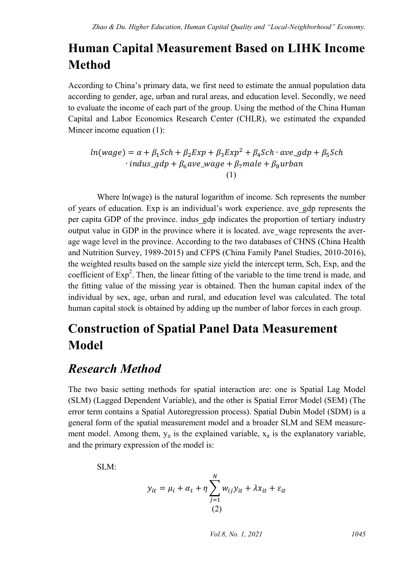## **Human Capital Measurement Based on LIHK Income Method**

According to China's primary data, we first need to estimate the annual population data according to gender, age, urban and rural areas, and education level. Secondly, we need to evaluate the income of each part of the group. Using the method of the China Human Capital and Labor Economics Research Center (CHLR), we estimated the expanded Mincer income equation (1):

 $ln(wage) = \alpha + \beta_1 Sch + \beta_2 Exp + \beta_3 Exp^2 + \beta_4 Sch \cdot ave\_gdp + \beta_5 Sch$  $\cdot$  indus\_gdp +  $\beta_6$ ave\_wage +  $\beta_7$ male +  $\beta_8$ urban (1)

Where ln(wage) is the natural logarithm of income. Sch represents the number of years of education. Exp is an individual's work experience. ave\_gdp represents the per capita GDP of the province. indus\_gdp indicates the proportion of tertiary industry output value in GDP in the province where it is located. ave\_wage represents the average wage level in the province. According to the two databases of CHNS (China Health and Nutrition Survey, 1989-2015) and CFPS (China Family Panel Studies, 2010-2016), the weighted results based on the sample size yield the intercept term, Sch, Exp, and the coefficient of  $Exp<sup>2</sup>$ . Then, the linear fitting of the variable to the time trend is made, and the fitting value of the missing year is obtained. Then the human capital index of the individual by sex, age, urban and rural, and education level was calculated. The total human capital stock is obtained by adding up the number of labor forces in each group.

## **Construction of Spatial Panel Data Measurement Model**

### *Research Method*

The two basic setting methods for spatial interaction are: one is Spatial Lag Model (SLM) (Lagged Dependent Variable), and the other is Spatial Error Model (SEM) (The error term contains a Spatial Autoregression process). Spatial Dubin Model (SDM) is a general form of the spatial measurement model and a broader SLM and SEM measurement model. Among them,  $y_{it}$  is the explained variable,  $x_{it}$  is the explanatory variable, and the primary expression of the model is:

SLM:

$$
y_{it} = \mu_i + \alpha_t + \eta \sum_{j=1}^{N} w_{ij} y_{it} + \lambda x_{it} + \varepsilon_{it}
$$
  
(2)

*Vol.8, No. 1, 2021 1045*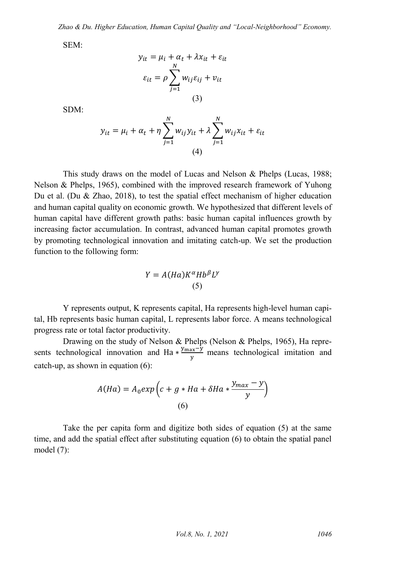SEM:

$$
y_{it} = \mu_i + \alpha_t + \lambda x_{it} + \varepsilon_{it}
$$

$$
\varepsilon_{it} = \rho \sum_{j=1}^{N} w_{ij} \varepsilon_{ij} + v_{it}
$$

$$
(3)
$$

SDM:

$$
y_{it} = \mu_i + \alpha_t + \eta \sum_{j=1}^{N} w_{ij} y_{it} + \lambda \sum_{j=1}^{N} w_{ij} x_{it} + \varepsilon_{it}
$$
  
(4)

This study draws on the model of Lucas and Nelson & Phelps (Lucas, 1988; Nelson & Phelps, 1965), combined with the improved research framework of Yuhong Du et al. (Du & Zhao, 2018), to test the spatial effect mechanism of higher education and human capital quality on economic growth. We hypothesized that different levels of human capital have different growth paths: basic human capital influences growth by increasing factor accumulation. In contrast, advanced human capital promotes growth by promoting technological innovation and imitating catch-up. We set the production function to the following form:

$$
Y = A(Ha)K^{\alpha}Hb^{\beta}L^{\gamma}
$$
  
(5)

Y represents output, K represents capital, Ha represents high-level human capital, Hb represents basic human capital, L represents labor force. A means technological progress rate or total factor productivity.

Drawing on the study of Nelson & Phelps (Nelson & Phelps, 1965), Ha represents technological innovation and Ha  $*$ <sup>y</sup>  $\frac{ax-y}{y}$  means technological imitation and catch-up, as shown in equation (6):

$$
A(Ha) = A_0 exp\left(c + g * Ha + \delta Ha * \frac{y_{max} - y}{y}\right)
$$
  
(6)

Take the per capita form and digitize both sides of equation (5) at the same time, and add the spatial effect after substituting equation (6) to obtain the spatial panel model (7):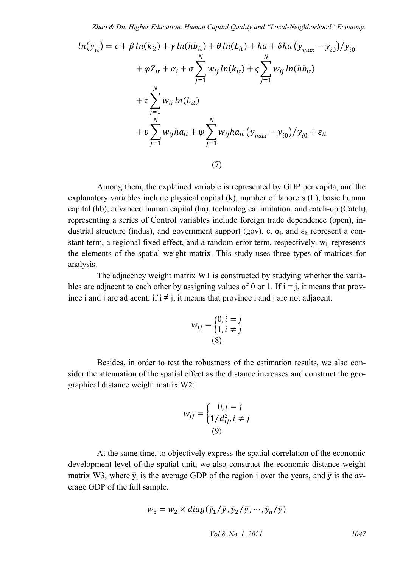$$
ln(y_{it}) = c + \beta ln(k_{it}) + \gamma ln(hb_{it}) + \theta ln(L_{it}) + ha + \delta ha(y_{max} - y_{i0})/y_{i0}
$$
  
+  $\varphi Z_{it} + \alpha_i + \sigma \sum_{j=1}^{N} w_{ij} ln(k_{it}) + \varsigma \sum_{j=1}^{N} w_{ij} ln(hb_{it})$   
+  $\tau \sum_{j=1}^{N} w_{ij} ln(L_{it})$   
+  $v \sum_{j=1}^{N} w_{ij} ha_{it} + \psi \sum_{j=1}^{N} w_{ij} ha_{it} (y_{max} - y_{i0})/y_{i0} + \varepsilon_{it}$   
(7)

Among them, the explained variable is represented by GDP per capita, and the explanatory variables include physical capital (k), number of laborers (L), basic human capital (hb), advanced human capital (ha), technological imitation, and catch-up (Catch), representing a series of Control variables include foreign trade dependence (open), industrial structure (indus), and government support (gov). c,  $\alpha_i$ , and  $\epsilon_{it}$  represent a constant term, a regional fixed effect, and a random error term, respectively. Wij represents the elements of the spatial weight matrix. This study uses three types of matrices for analysis.

The adjacency weight matrix W1 is constructed by studying whether the variables are adjacent to each other by assigning values of 0 or 1. If  $i = j$ , it means that province i and j are adjacent; if  $i \neq j$ , it means that province i and j are not adjacent.

$$
w_{ij} = \begin{cases} 0, i = j \\ 1, i \neq j \end{cases}
$$
  
(8)

Besides, in order to test the robustness of the estimation results, we also consider the attenuation of the spatial effect as the distance increases and construct the geographical distance weight matrix W2:

$$
w_{ij} = \begin{cases} 0, i = j \\ 1/d_{ij}^2, i \neq j \\ (9) \end{cases}
$$

At the same time, to objectively express the spatial correlation of the economic development level of the spatial unit, we also construct the economic distance weight matrix W3, where  $\bar{y}_i$  is the average GDP of the region i over the years, and  $\bar{y}$  is the average GDP of the full sample.

$$
w_3 = w_2 \times diag(\bar{y}_1/\bar{y}, \bar{y}_2/\bar{y}, \cdots, \bar{y}_n/\bar{y})
$$

*Vol.8, No. 1, 2021 1047*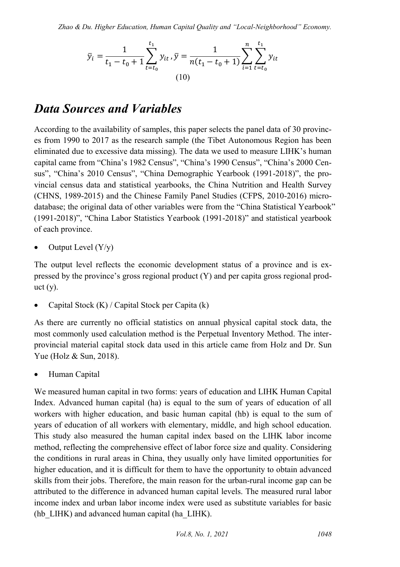*Zhao & Du. Higher Education, Human Capital Quality and "Local-Neighborhood" Economy.* 

$$
\bar{y}_i = \frac{1}{t_1 - t_0 + 1} \sum_{t=t_0}^{t_1} y_{it}, \bar{y} = \frac{1}{n(t_1 - t_0 + 1)} \sum_{i=1}^n \sum_{t=t_0}^{t_1} y_{it}
$$
\n(10)

### *Data Sources and Variables*

According to the availability of samples, this paper selects the panel data of 30 provinces from 1990 to 2017 as the research sample (the Tibet Autonomous Region has been eliminated due to excessive data missing). The data we used to measure LIHK's human capital came from "China's 1982 Census", "China's 1990 Census", "China's 2000 Census", "China's 2010 Census", "China Demographic Yearbook (1991-2018)", the provincial census data and statistical yearbooks, the China Nutrition and Health Survey (CHNS, 1989-2015) and the Chinese Family Panel Studies (CFPS, 2010-2016) microdatabase; the original data of other variables were from the "China Statistical Yearbook" (1991-2018)", "China Labor Statistics Yearbook (1991-2018)" and statistical yearbook of each province.

Output Level  $(Y/y)$ 

The output level reflects the economic development status of a province and is expressed by the province's gross regional product (Y) and per capita gross regional prod $uct(y)$ .

Capital Stock (K) / Capital Stock per Capita (k)

As there are currently no official statistics on annual physical capital stock data, the most commonly used calculation method is the Perpetual Inventory Method. The interprovincial material capital stock data used in this article came from Holz and Dr. Sun Yue (Holz & Sun, 2018).

Human Capital

We measured human capital in two forms: years of education and LIHK Human Capital Index. Advanced human capital (ha) is equal to the sum of years of education of all workers with higher education, and basic human capital (hb) is equal to the sum of years of education of all workers with elementary, middle, and high school education. This study also measured the human capital index based on the LIHK labor income method, reflecting the comprehensive effect of labor force size and quality. Considering the conditions in rural areas in China, they usually only have limited opportunities for higher education, and it is difficult for them to have the opportunity to obtain advanced skills from their jobs. Therefore, the main reason for the urban-rural income gap can be attributed to the difference in advanced human capital levels. The measured rural labor income index and urban labor income index were used as substitute variables for basic (hb\_LIHK) and advanced human capital (ha\_LIHK).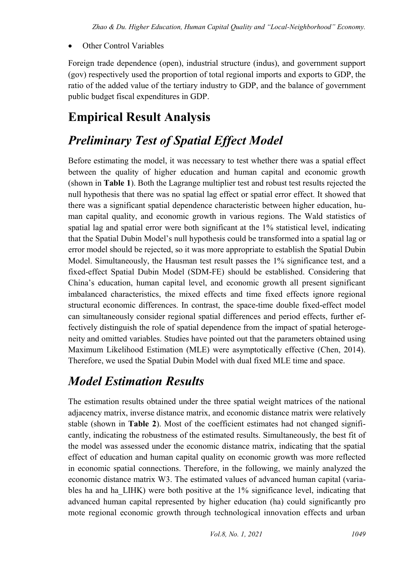### Other Control Variables

Foreign trade dependence (open), industrial structure (indus), and government support (gov) respectively used the proportion of total regional imports and exports to GDP, the ratio of the added value of the tertiary industry to GDP, and the balance of government public budget fiscal expenditures in GDP.

### **Empirical Result Analysis**

## *Preliminary Test of Spatial Effect Model*

Before estimating the model, it was necessary to test whether there was a spatial effect between the quality of higher education and human capital and economic growth (shown in **Table 1**). Both the Lagrange multiplier test and robust test results rejected the null hypothesis that there was no spatial lag effect or spatial error effect. It showed that there was a significant spatial dependence characteristic between higher education, human capital quality, and economic growth in various regions. The Wald statistics of spatial lag and spatial error were both significant at the 1% statistical level, indicating that the Spatial Dubin Model's null hypothesis could be transformed into a spatial lag or error model should be rejected, so it was more appropriate to establish the Spatial Dubin Model. Simultaneously, the Hausman test result passes the 1% significance test, and a fixed-effect Spatial Dubin Model (SDM-FE) should be established. Considering that China's education, human capital level, and economic growth all present significant imbalanced characteristics, the mixed effects and time fixed effects ignore regional structural economic differences. In contrast, the space-time double fixed-effect model can simultaneously consider regional spatial differences and period effects, further effectively distinguish the role of spatial dependence from the impact of spatial heterogeneity and omitted variables. Studies have pointed out that the parameters obtained using Maximum Likelihood Estimation (MLE) were asymptotically effective (Chen, 2014). Therefore, we used the Spatial Dubin Model with dual fixed MLE time and space.

### *Model Estimation Results*

The estimation results obtained under the three spatial weight matrices of the national adjacency matrix, inverse distance matrix, and economic distance matrix were relatively stable (shown in **Table 2**). Most of the coefficient estimates had not changed significantly, indicating the robustness of the estimated results. Simultaneously, the best fit of the model was assessed under the economic distance matrix, indicating that the spatial effect of education and human capital quality on economic growth was more reflected in economic spatial connections. Therefore, in the following, we mainly analyzed the economic distance matrix W3. The estimated values of advanced human capital (variables ha and ha\_LIHK) were both positive at the 1% significance level, indicating that advanced human capital represented by higher education (ha) could significantly pro mote regional economic growth through technological innovation effects and urban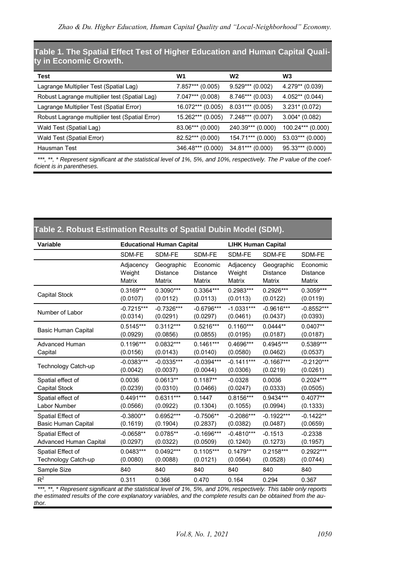**Table 1. The Spatial Effect Test of Higher Education and Human Capital Quality in Economic Growth.**

| Test                                            | W1                  | W <sub>2</sub>     | W3                |
|-------------------------------------------------|---------------------|--------------------|-------------------|
| Lagrange Multiplier Test (Spatial Lag)          | 7.857*** (0.005)    | $9.529***$ (0.002) | $4.279** (0.039)$ |
| Robust Lagrange multiplier test (Spatial Lag)   | 7.047*** (0.008)    | $8.746***$ (0.003) | $4.052**$ (0.044) |
| Lagrange Multiplier Test (Spatial Error)        | $16.072***$ (0.005) | $8.031***$ (0.005) | $3.231* (0.072)$  |
| Robust Lagrange multiplier test (Spatial Error) | 15.262*** (0.005)   | $7.248***$ (0.007) | $3.004* (0.082)$  |
| Wald Test (Spatial Lag)                         | 83.06*** (0.000)    | 240.39*** (0.000)  | 100.24*** (0.000) |
| Wald Test (Spatial Error)                       | 82.52*** (0.000)    | 154.71*** (0.000)  | 53.03*** (0.000)  |
| Hausman Test                                    | 346.48*** (0.000)   | 34.81*** (0.000)   | 95.33*** (0.000)  |

\*\*\*, \*\*, \* Represent significant at the statistical level of 1%, 5%, and 10%, respectively. The P value of the coef*ficient is in parentheses.*

| Table 2. Robust Estimation Results of Spatial Dubin Model (SDM). |                                  |              |              |                           |              |              |  |
|------------------------------------------------------------------|----------------------------------|--------------|--------------|---------------------------|--------------|--------------|--|
| Variable                                                         | <b>Educational Human Capital</b> |              |              | <b>LIHK Human Capital</b> |              |              |  |
|                                                                  | SDM-FE                           | SDM-FE       | SDM-FE       | SDM-FE                    | SDM-FE       | SDM-FE       |  |
|                                                                  | Adjacency                        | Geographic   | Economic     | Adjacency                 | Geographic   | Economic     |  |
|                                                                  | Weight                           | Distance     | Distance     | Weight                    | Distance     | Distance     |  |
|                                                                  | Matrix                           | Matrix       | Matrix       | Matrix                    | Matrix       | Matrix       |  |
| <b>Capital Stock</b>                                             | 0.3169***                        | $0.3090***$  | 0.3364***    | 0.2983***                 | 0.2926***    | $0.3059***$  |  |
|                                                                  | (0.0107)                         | (0.0112)     | (0.0113)     | (0.0113)                  | (0.0122)     | (0.0119)     |  |
| Number of Labor                                                  | $-0.7215***$                     | $-0.7326***$ | $-0.6796***$ | $-1.0331***$              | $-0.9616***$ | $-0.8552***$ |  |
|                                                                  | (0.0314)                         | (0.0291)     | (0.0297)     | (0.0461)                  | (0.0437)     | (0.0393)     |  |
| Basic Human Capital                                              | $0.5145***$                      | $0.3112***$  | $0.5216***$  | $0.1160***$               | $0.0444**$   | $0.0407**$   |  |
|                                                                  | (0.0929)                         | (0.0856)     | (0.0855)     | (0.0195)                  | (0.0187)     | (0.0187)     |  |
| <b>Advanced Human</b>                                            | $0.1196***$                      | 0.0832***    | $0.1461***$  | 0.4696***                 | $0.4945***$  | $0.5389***$  |  |
| Capital                                                          | (0.0156)                         | (0.0143)     | (0.0140)     | (0.0580)                  | (0.0462)     | (0.0537)     |  |
| <b>Technology Catch-up</b>                                       | $-0.0383***$                     | $-0.0335***$ | $-0.0394***$ | $-0.1411***$              | $-0.1667***$ | $-0.2120***$ |  |
|                                                                  | (0.0042)                         | (0.0037)     | (0.0044)     | (0.0306)                  | (0.0219)     | (0.0261)     |  |
| Spatial effect of                                                | 0.0036                           | $0.0613**$   | $0.1187**$   | $-0.0328$                 | 0.0036       | $0.2024***$  |  |
| Capital Stock                                                    | (0.0239)                         | (0.0310)     | (0.0466)     | (0.0247)                  | (0.0333)     | (0.0505)     |  |
| Spatial effect of                                                | $0.4491***$                      | $0.6311***$  | 0.1447       | 0.8156***                 | 0.9434***    | $0.4077**$   |  |
| Labor Number                                                     | (0.0566)                         | (0.0922)     | (0.1304)     | (0.1055)                  | (0.0994)     | (0.1333)     |  |
| Spatial Effect of                                                | $-0.3800**$                      | 0.6952***    | $-0.7506**$  | $-0.2086***$              | $-0.1922***$ | $-0.1422**$  |  |
| Basic Human Capital                                              | (0.1619)                         | (0.1904)     | (0.2837)     | (0.0382)                  | (0.0487)     | (0.0659)     |  |
| Spatial Effect of                                                | $-0.0658**$                      | $0.0785**$   | $-0.1696***$ | $-0.4810***$              | $-0.1513$    | $-0.2338$    |  |
| Advanced Human Capital                                           | (0.0297)                         | (0.0322)     | (0.0509)     | (0.1240)                  | (0.1273)     | (0.1957)     |  |
| Spatial Effect of                                                | $0.0483***$                      | $0.0492***$  | $0.1105***$  | $0.1479**$                | $0.2158***$  | $0.2922***$  |  |
| Technology Catch-up                                              | (0.0080)                         | (0.0088)     | (0.0121)     | (0.0564)                  | (0.0528)     | (0.0744)     |  |
| Sample Size                                                      | 840                              | 840          | 840          | 840                       | 840          | 840          |  |
| $R^2$                                                            | 0.311                            | 0.366        | 0.470        | 0.164                     | 0.294        | 0.367        |  |

**Table 2. Robust Estimation Results of Spatial Dubin Model (SDM).**

*\*\*\*, \*\*, \* Represent significant at the statistical level of 1%, 5%, and 10%, respectively. This table only reports the estimated results of the core explanatory variables, and the complete results can be obtained from the author.*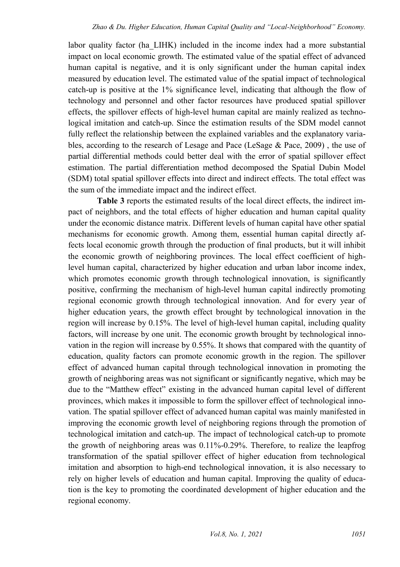labor quality factor (ha\_LIHK) included in the income index had a more substantial impact on local economic growth. The estimated value of the spatial effect of advanced human capital is negative, and it is only significant under the human capital index measured by education level. The estimated value of the spatial impact of technological catch-up is positive at the 1% significance level, indicating that although the flow of technology and personnel and other factor resources have produced spatial spillover effects, the spillover effects of high-level human capital are mainly realized as technological imitation and catch-up. Since the estimation results of the SDM model cannot fully reflect the relationship between the explained variables and the explanatory variables, according to the research of Lesage and Pace (LeSage & Pace, 2009) , the use of partial differential methods could better deal with the error of spatial spillover effect estimation. The partial differentiation method decomposed the Spatial Dubin Model (SDM) total spatial spillover effects into direct and indirect effects. The total effect was the sum of the immediate impact and the indirect effect.

**Table 3** reports the estimated results of the local direct effects, the indirect impact of neighbors, and the total effects of higher education and human capital quality under the economic distance matrix. Different levels of human capital have other spatial mechanisms for economic growth. Among them, essential human capital directly affects local economic growth through the production of final products, but it will inhibit the economic growth of neighboring provinces. The local effect coefficient of highlevel human capital, characterized by higher education and urban labor income index, which promotes economic growth through technological innovation, is significantly positive, confirming the mechanism of high-level human capital indirectly promoting regional economic growth through technological innovation. And for every year of higher education years, the growth effect brought by technological innovation in the region will increase by 0.15%. The level of high-level human capital, including quality factors, will increase by one unit. The economic growth brought by technological innovation in the region will increase by 0.55%. It shows that compared with the quantity of education, quality factors can promote economic growth in the region. The spillover effect of advanced human capital through technological innovation in promoting the growth of neighboring areas was not significant or significantly negative, which may be due to the "Matthew effect" existing in the advanced human capital level of different provinces, which makes it impossible to form the spillover effect of technological innovation. The spatial spillover effect of advanced human capital was mainly manifested in improving the economic growth level of neighboring regions through the promotion of technological imitation and catch-up. The impact of technological catch-up to promote the growth of neighboring areas was 0.11%-0.29%. Therefore, to realize the leapfrog transformation of the spatial spillover effect of higher education from technological imitation and absorption to high-end technological innovation, it is also necessary to rely on higher levels of education and human capital. Improving the quality of education is the key to promoting the coordinated development of higher education and the regional economy.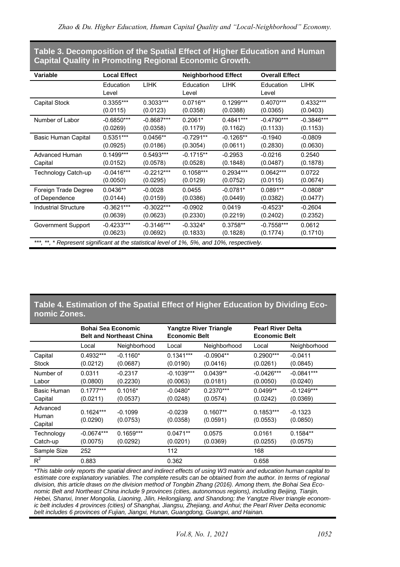**Table 3. Decomposition of the Spatial Effect of Higher Education and Human Capital Quality in Promoting Regional Economic Growth.**

| Variable                                                                                    | <b>Local Effect</b> |              | <b>Neighborhood Effect</b> |             |                    | <b>Overall Effect</b> |  |
|---------------------------------------------------------------------------------------------|---------------------|--------------|----------------------------|-------------|--------------------|-----------------------|--|
|                                                                                             | Education<br>Level  | <b>LIHK</b>  | Education<br>Level         | <b>LIHK</b> | Education<br>Level | <b>LIHK</b>           |  |
| Capital Stock                                                                               | 0.3355***           | $0.3033***$  | $0.0716**$                 | $0.1299***$ | $0.4070***$        | $0.4332***$           |  |
|                                                                                             | (0.0115)            | (0.0123)     | (0.0358)                   | (0.0388)    | (0.0365)           | (0.0403)              |  |
| Number of Labor                                                                             | $-0.6850***$        | $-0.8687***$ | $0.2061*$                  | $0.4841***$ | $-0.4790***$       | $-0.3846***$          |  |
|                                                                                             | (0.0269)            | (0.0358)     | (0.1179)                   | (0.1162)    | (0.1133)           | (0.1153)              |  |
| Basic Human Capital                                                                         | $0.5351***$         | $0.0456**$   | $-0.7291**$                | $-0.1265**$ | $-0.1940$          | $-0.0809$             |  |
|                                                                                             | (0.0925)            | (0.0186)     | (0.3054)                   | (0.0611)    | (0.2830)           | (0.0630)              |  |
| Advanced Human                                                                              | $0.1499***$         | $0.5493***$  | $-0.1715**$                | $-0.2953$   | $-0.0216$          | 0.2540                |  |
| Capital                                                                                     | (0.0152)            | (0.0578)     | (0.0528)                   | (0.1848)    | (0.0487)           | (0.1878)              |  |
| Technology Catch-up                                                                         | $-0.0416***$        | $-0.2212***$ | $0.1058***$                | $0.2934***$ | $0.0642***$        | 0.0722                |  |
|                                                                                             | (0.0050)            | (0.0295)     | (0.0129)                   | (0.0752)    | (0.0115)           | (0.0674)              |  |
| Foreign Trade Degree                                                                        | $0.0436**$          | $-0.0028$    | 0.0455                     | $-0.0781*$  | $0.0891**$         | $-0.0808*$            |  |
| of Dependence                                                                               | (0.0144)            | (0.0159)     | (0.0386)                   | (0.0449)    | (0.0382)           | (0.0477)              |  |
| <b>Industrial Structure</b>                                                                 | $-0.3621***$        | $-0.3022***$ | $-0.0902$                  | 0.0419      | $-0.4523*$         | $-0.2604$             |  |
|                                                                                             | (0.0639)            | (0.0623)     | (0.2330)                   | (0.2219)    | (0.2402)           | (0.2352)              |  |
| Government Support                                                                          | $-0.4233***$        | $-0.3146***$ | $-0.3324*$                 | 0.3758**    | $-0.7558***$       | 0.0612                |  |
|                                                                                             | (0.0623)            | (0.0692)     | (0.1833)                   | (0.1828)    | (0.1774)           | (0.1710)              |  |
| ***, **, * Represent significant at the statistical level of 1%, 5%, and 10%, respectively. |                     |              |                            |             |                    |                       |  |

#### **Table 4. Estimation of the Spatial Effect of Higher Education by Dividing Economic Zones.**

|                              | Bohai Sea Economic<br><b>Belt and Northeast China</b> |                         | <b>Economic Belt</b>     | <b>Yangtze River Triangle</b> | <b>Pearl River Delta</b><br><b>Economic Belt</b> |                          |
|------------------------------|-------------------------------------------------------|-------------------------|--------------------------|-------------------------------|--------------------------------------------------|--------------------------|
|                              | Local                                                 | Neighborhood            | Local                    | Neighborhood                  | Local                                            | Neighborhood             |
| Capital<br>Stock             | $0.4932***$<br>(0.0212)                               | $-0.1160*$<br>(0.0687)  | $0.1341***$<br>(0.0190)  | $-0.0904**$<br>(0.0416)       | $0.2900***$<br>(0.0261)                          | $-0.0411$<br>(0.0845)    |
| Number of<br>Labor           | 0.0311<br>(0.0800)                                    | $-0.2317$<br>(0.2230)   | $-0.1039***$<br>(0.0063) | $0.0439**$<br>(0.0181)        | $-0.0426***$<br>(0.0050)                         | $-0.0841***$<br>(0.0240) |
| Basic Human<br>Capital       | $0.1777***$<br>(0.0211)                               | $0.1016*$<br>(0.0537)   | $-0.0480*$<br>(0.0248)   | $0.2370***$<br>(0.0574)       | $0.0499**$<br>(0.0242)                           | $-0.1249***$<br>(0.0369) |
| Advanced<br>Human<br>Capital | $0.1624***$<br>(0.0290)                               | $-0.1099$<br>(0.0753)   | $-0.0239$<br>(0.0358)    | $0.1607**$<br>(0.0591)        | $0.1853***$<br>(0.0553)                          | $-0.1323$<br>(0.0850)    |
| Technology<br>Catch-up       | $-0.0674***$<br>(0.0075)                              | $0.1659***$<br>(0.0292) | $0.0471**$<br>(0.0201)   | 0.0575<br>(0.0369)            | 0.0161<br>(0.0255)                               | $0.1584**$<br>(0.0575)   |
| Sample Size                  | 252                                                   |                         | 112                      |                               | 168                                              |                          |
| $R^2$                        | 0.883                                                 |                         | 0.362                    |                               | 0.658                                            |                          |

*\*This table only reports the spatial direct and indirect effects of using W3 matrix and education human capital to*  estimate core explanatory variables. The complete results can be obtained from the author. In terms of regional *division, this article draws on the division method of Tongbin Zhang (2016). Among them, the Bohai Sea Economic Belt and Northeast China include 9 provinces (cities, autonomous regions), including Beijing, Tianjin, Hebei, Shanxi, Inner Mongolia, Liaoning, Jilin, Heilongjiang, and Shandong; the Yangtze River triangle economic belt includes 4 provinces (cities) of Shanghai, Jiangsu, Zhejiang, and Anhui; the Pearl River Delta economic belt includes 6 provinces of Fujian, Jiangxi, Hunan, Guangdong, Guangxi, and Hainan.*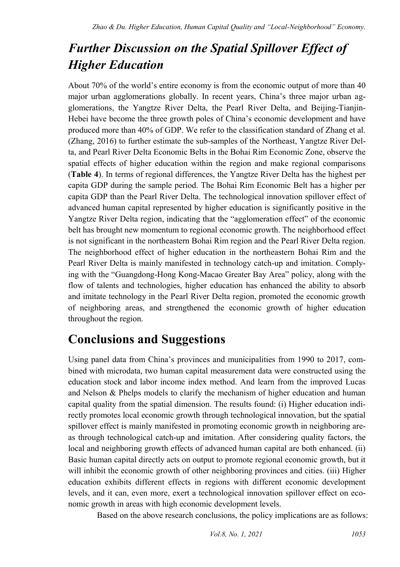## *Further Discussion on the Spatial Spillover Effect of Higher Education*

About 70% of the world's entire economy is from the economic output of more than 40 major urban agglomerations globally. In recent years, China's three major urban agglomerations, the Yangtze River Delta, the Pearl River Delta, and Beijing-Tianjin-Hebei have become the three growth poles of China's economic development and have produced more than 40% of GDP. We refer to the classification standard of Zhang et al. (Zhang, 2016) to further estimate the sub-samples of the Northeast, Yangtze River Delta, and Pearl River Delta Economic Belts in the Bohai Rim Economic Zone, observe the spatial effects of higher education within the region and make regional comparisons (**Table 4**). In terms of regional differences, the Yangtze River Delta has the highest per capita GDP during the sample period. The Bohai Rim Economic Belt has a higher per capita GDP than the Pearl River Delta. The technological innovation spillover effect of advanced human capital represented by higher education is significantly positive in the Yangtze River Delta region, indicating that the "agglomeration effect" of the economic belt has brought new momentum to regional economic growth. The neighborhood effect is not significant in the northeastern Bohai Rim region and the Pearl River Delta region. The neighborhood effect of higher education in the northeastern Bohai Rim and the Pearl River Delta is mainly manifested in technology catch-up and imitation. Complying with the "Guangdong-Hong Kong-Macao Greater Bay Area" policy, along with the flow of talents and technologies, higher education has enhanced the ability to absorb and imitate technology in the Pearl River Delta region, promoted the economic growth of neighboring areas, and strengthened the economic growth of higher education throughout the region.

### **Conclusions and Suggestions**

Using panel data from China's provinces and municipalities from 1990 to 2017, combined with microdata, two human capital measurement data were constructed using the education stock and labor income index method. And learn from the improved Lucas and Nelson & Phelps models to clarify the mechanism of higher education and human capital quality from the spatial dimension. The results found: (i) Higher education indirectly promotes local economic growth through technological innovation, but the spatial spillover effect is mainly manifested in promoting economic growth in neighboring areas through technological catch-up and imitation. After considering quality factors, the local and neighboring growth effects of advanced human capital are both enhanced. (ii) Basic human capital directly acts on output to promote regional economic growth, but it will inhibit the economic growth of other neighboring provinces and cities. (iii) Higher education exhibits different effects in regions with different economic development levels, and it can, even more, exert a technological innovation spillover effect on economic growth in areas with high economic development levels.

Based on the above research conclusions, the policy implications are as follows: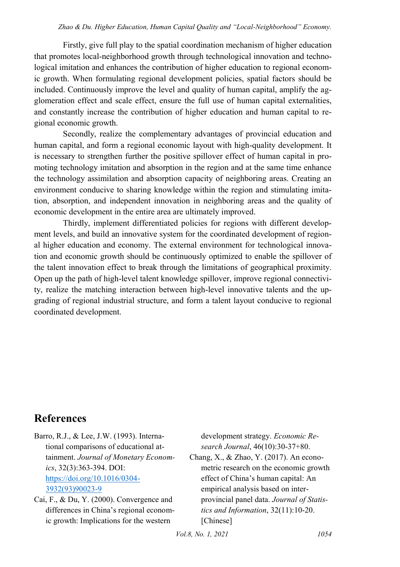Firstly, give full play to the spatial coordination mechanism of higher education that promotes local-neighborhood growth through technological innovation and technological imitation and enhances the contribution of higher education to regional economic growth. When formulating regional development policies, spatial factors should be included. Continuously improve the level and quality of human capital, amplify the agglomeration effect and scale effect, ensure the full use of human capital externalities, and constantly increase the contribution of higher education and human capital to regional economic growth.

Secondly, realize the complementary advantages of provincial education and human capital, and form a regional economic layout with high-quality development. It is necessary to strengthen further the positive spillover effect of human capital in promoting technology imitation and absorption in the region and at the same time enhance the technology assimilation and absorption capacity of neighboring areas. Creating an environment conducive to sharing knowledge within the region and stimulating imitation, absorption, and independent innovation in neighboring areas and the quality of economic development in the entire area are ultimately improved.

Thirdly, implement differentiated policies for regions with different development levels, and build an innovative system for the coordinated development of regional higher education and economy. The external environment for technological innovation and economic growth should be continuously optimized to enable the spillover of the talent innovation effect to break through the limitations of geographical proximity. Open up the path of high-level talent knowledge spillover, improve regional connectivity, realize the matching interaction between high-level innovative talents and the upgrading of regional industrial structure, and form a talent layout conducive to regional coordinated development.

### **References**

Barro, R.J., & Lee, J.W. (1993). International comparisons of educational attainment. *Journal of Monetary Economics*, 32(3):363-394. DOI: [https://doi.org/10.1016/0304-](https://doi.org/10.1016/0304-3932(93)90023-9) [3932\(93\)90023-9](https://doi.org/10.1016/0304-3932(93)90023-9) 

Cai, F., & Du, Y. (2000). Convergence and differences in China's regional economic growth: Implications for the western

development strategy. *Economic Research Journal*, 46(10):30-37+80. Chang, X., & Zhao, Y. (2017). An econometric research on the economic growth effect of China's human capital: An empirical analysis based on interprovincial panel data. *Journal of Statistics and Information*, 32(11):10-20. [Chinese]

*Vol.8, No. 1, 2021 1054*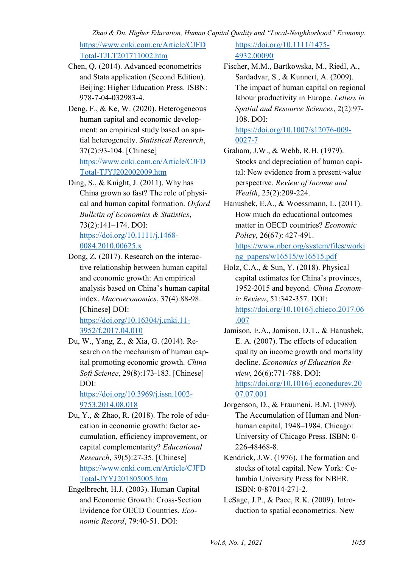*Zhao & Du. Higher Education, Human Capital Quality and "Local-Neighborhood" Economy.* 

[https://www.cnki.com.cn/Article/CJFD](https://www.cnki.com.cn/Article/CJFDTotal-TJLT201711002.htm) [Total-TJLT201711002.htm](https://www.cnki.com.cn/Article/CJFDTotal-TJLT201711002.htm) 

- Chen, Q. (2014). Advanced econometrics and Stata application (Second Edition). Beijing: Higher Education Press. ISBN: 978-7-04-032983-4.
- Deng, F., & Ke, W. (2020). Heterogeneous human capital and economic development: an empirical study based on spatial heterogeneity. *Statistical Research*, 37(2):93-104. [Chinese] [https://www.cnki.com.cn/Article/CJFD](https://www.cnki.com.cn/Article/CJFDTotal-TJYJ202002009.htm) [Total-TJYJ202002009.htm](https://www.cnki.com.cn/Article/CJFDTotal-TJYJ202002009.htm)
- Ding, S., & Knight, J. (2011). Why has China grown so fast? The role of physical and human capital formation. *Oxford Bulletin of Economics & Statistics*, 73(2):141–174. DOI: [https://doi.org/10.1111/j.1468-](https://doi.org/10.1111/j.1468-0084.2010.00625.x) [0084.2010.00625.x](https://doi.org/10.1111/j.1468-0084.2010.00625.x)
- Dong, Z. (2017). Research on the interactive relationship between human capital and economic growth: An empirical analysis based on China's human capital index. *Macroeconomics*, 37(4):88-98. [Chinese] DOI: [https://doi.org/10.16304/j.cnki.11-](https://doi.org/10.16304/j.cnki.11-3952/f.2017.04.010) [3952/f.2017.04.010](https://doi.org/10.16304/j.cnki.11-3952/f.2017.04.010)
- Du, W., Yang, Z., & Xia, G. (2014). Research on the mechanism of human capital promoting economic growth. *China Soft Science*, 29(8):173-183. [Chinese] DOI:

[https://doi.org/10.3969/j.issn.1002-](https://doi.org/10.3969/j.issn.1002-9753.2014.08.018) [9753.2014.08.018](https://doi.org/10.3969/j.issn.1002-9753.2014.08.018) 

- Du, Y., & Zhao, R. (2018). The role of education in economic growth: factor accumulation, efficiency improvement, or capital complementarity? *Educational Research*, 39(5):27-35. [Chinese] [https://www.cnki.com.cn/Article/CJFD](https://www.cnki.com.cn/Article/CJFDTotal-JYYJ201805005.htm) [Total-JYYJ201805005.htm](https://www.cnki.com.cn/Article/CJFDTotal-JYYJ201805005.htm)
- Engelbrecht, H.J. (2003). Human Capital and Economic Growth: Cross-Section Evidence for OECD Countries. *Economic Record*, 79:40-51. DOI:

#### [https://doi.org/10.1111/1475-](https://doi.org/10.1111/1475-4932.00090) [4932.00090](https://doi.org/10.1111/1475-4932.00090)

Fischer, M.M., Bartkowska, M., Riedl, A., Sardadvar, S., & Kunnert, A. (2009). The impact of human capital on regional labour productivity in Europe. *Letters in Spatial and Resource Sciences*, 2(2):97- 108. DOI:

[https://doi.org/10.1007/s12076-009-](https://doi.org/10.1007/s12076-009-0027-7) [0027-7](https://doi.org/10.1007/s12076-009-0027-7) 

- Graham, J.W., & Webb, R.H. (1979). Stocks and depreciation of human capital: New evidence from a present-value perspective. *Review of Income and Wealth*, 25(2):209-224.
- Hanushek, E.A., & Woessmann, L. (2011). How much do educational outcomes matter in OECD countries? *Economic Policy*, 26(67): 427-491. [https://www.nber.org/system/files/worki](https://www.nber.org/system/files/working_papers/w16515/w16515.pdf) [ng\\_papers/w16515/w16515.pdf](https://www.nber.org/system/files/working_papers/w16515/w16515.pdf)
- Holz, C.A., & Sun, Y. (2018). Physical capital estimates for China's provinces, 1952-2015 and beyond. *China Economic Review*, 51:342-357. DOI: [https://doi.org/10.1016/j.chieco.2017.06](https://doi.org/10.1016/j.chieco.2017.06.007) [.007](https://doi.org/10.1016/j.chieco.2017.06.007)
- Jamison, E.A., Jamison, D.T., & Hanushek, E. A. (2007). The effects of education quality on income growth and mortality decline. *Economics of Education Review*, 26(6):771-788. DOI:

[https://doi.org/10.1016/j.econedurev.20](https://doi.org/10.1016/j.econedurev.2007.07.001) [07.07.001](https://doi.org/10.1016/j.econedurev.2007.07.001) 

- Jorgenson, D., & Fraumeni, B.M. (1989). The Accumulation of Human and Nonhuman capital, 1948–1984. Chicago: University of Chicago Press. ISBN: 0- 226-48468-8.
- Kendrick, J.W. (1976). The formation and stocks of total capital. New York: Columbia University Press for NBER. ISBN: 0-87014-271-2.
- LeSage, J.P., & Pace, R.K. (2009). Introduction to spatial econometrics. New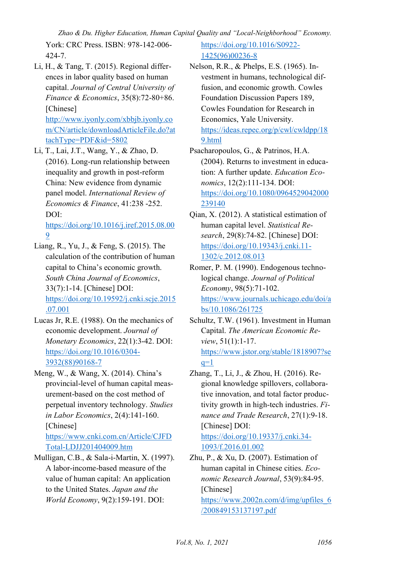*Zhao & Du. Higher Education, Human Capital Quality and "Local-Neighborhood" Economy.* 

York: CRC Press. ISBN: 978-142-006- 424-7.

Li, H., & Tang, T. (2015). Regional differences in labor quality based on human capital. *Journal of Central University of Finance & Economics*, 35(8):72-80+86. [Chinese] [http://www.iyonly.com/xbbjb.iyonly.co](http://www.iyonly.com/xbbjb.iyonly.com/CN/article/downloadArticleFile.do?attachType=PDF&id=5802) [m/CN/article/downloadArticleFile.do?at](http://www.iyonly.com/xbbjb.iyonly.com/CN/article/downloadArticleFile.do?attachType=PDF&id=5802)

[tachType=PDF&id=5802](http://www.iyonly.com/xbbjb.iyonly.com/CN/article/downloadArticleFile.do?attachType=PDF&id=5802) 

Li, T., Lai, J.T., Wang, Y., & Zhao, D. (2016). Long-run relationship between inequality and growth in post-reform China: New evidence from dynamic panel model. *International Review of Economics & Finance*, 41:238 -252. DOI: [https://doi.org/10.1016/j.iref.2015.08.00](https://doi.org/10.1016/j.iref.2015.08.009)

[9](https://doi.org/10.1016/j.iref.2015.08.009) 

- Liang, R., Yu, J., & Feng, S. (2015). The calculation of the contribution of human capital to China's economic growth. *South China Journal of Economics*, 33(7):1-14. [Chinese] DOI: [https://doi.org/10.19592/j.cnki.scje.2015](https://doi.org/10.19592/j.cnki.scje.2015.07.001) [.07.001](https://doi.org/10.19592/j.cnki.scje.2015.07.001)
- Lucas Jr, R.E. (1988). On the mechanics of economic development. *Journal of Monetary Economics*, 22(1):3-42. DOI: [https://doi.org/10.1016/0304-](https://doi.org/10.1016/0304-3932(88)90168-7) [3932\(88\)90168-7](https://doi.org/10.1016/0304-3932(88)90168-7)
- Meng, W., & Wang, X. (2014). China's provincial-level of human capital measurement-based on the cost method of perpetual inventory technology. *Studies in Labor Economics*, 2(4):141-160. [Chinese] [https://www.cnki.com.cn/Article/CJFD](https://www.cnki.com.cn/Article/CJFDTotal-LDJJ201404009.htm)

[Total-LDJJ201404009.htm](https://www.cnki.com.cn/Article/CJFDTotal-LDJJ201404009.htm) 

Mulligan, C.B., & Sala-i-Martin, X. (1997). A labor-income-based measure of the value of human capital: An application to the United States. *Japan and the World Economy*, 9(2):159-191. DOI:

[https://doi.org/10.1016/S0922-](https://doi.org/10.1016/S0922-1425(96)00236-8) [1425\(96\)00236-8](https://doi.org/10.1016/S0922-1425(96)00236-8) 

- Nelson, R.R., & Phelps, E.S. (1965). Investment in humans, technological diffusion, and economic growth. Cowles Foundation Discussion Papers 189, Cowles Foundation for Research in Economics, Yale University. [https://ideas.repec.org/p/cwl/cwldpp/18](https://ideas.repec.org/p/cwl/cwldpp/189.html) [9.html](https://ideas.repec.org/p/cwl/cwldpp/189.html)
- Psacharopoulos, G., & Patrinos, H.A. (2004). Returns to investment in education: A further update. *Education Economics*, 12(2):111-134. DOI: [https://doi.org/10.1080/0964529042000](https://doi.org/10.1080/0964529042000239140) [239140](https://doi.org/10.1080/0964529042000239140)
- Qian, X. (2012). A statistical estimation of human capital level. *Statistical Research*, 29(8):74-82. [Chinese] DOI: [https://doi.org/10.19343/j.cnki.11-](https://doi.org/10.19343/j.cnki.11-1302/c.2012.08.013) [1302/c.2012.08.013](https://doi.org/10.19343/j.cnki.11-1302/c.2012.08.013)
- Romer, P. M. (1990). Endogenous technological change. *Journal of Political Economy*, 98(5):71-102. [https://www.journals.uchicago.edu/doi/a](https://www.journals.uchicago.edu/doi/abs/10.1086/261725) [bs/10.1086/261725](https://www.journals.uchicago.edu/doi/abs/10.1086/261725)
- Schultz, T.W. (1961). Investment in Human Capital. *The American Economic Review*, 51(1):1-17. [https://www.jstor.org/stable/1818907?se](https://www.jstor.org/stable/1818907?seq=1)  $q=1$
- Zhang, T., Li, J., & Zhou, H. (2016). Regional knowledge spillovers, collaborative innovation, and total factor productivity growth in high-tech industries. *Finance and Trade Research*, 27(1):9-18. [Chinese] DOI:

[https://doi.org/10.19337/j.cnki.34-](https://doi.org/10.19337/j.cnki.34-1093/f.2016.01.002) [1093/f.2016.01.002](https://doi.org/10.19337/j.cnki.34-1093/f.2016.01.002) 

Zhu, P., & Xu, D. (2007). Estimation of human capital in Chinese cities. *Economic Research Journal*, 53(9):84-95. [Chinese]

[https://www.2002n.com/d/img/upfiles\\_6](https://www.2002n.com/d/img/upfiles_6/200849153137197.pdf) [/200849153137197.pdf](https://www.2002n.com/d/img/upfiles_6/200849153137197.pdf)